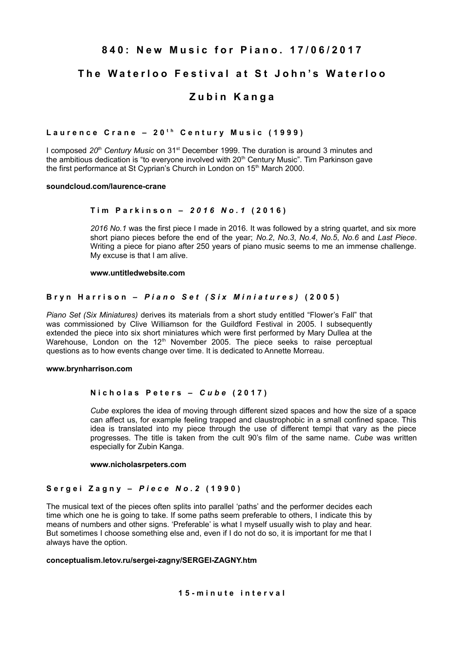# 840: New Music for Piano, 17/06/2017

# **The Waterloo Festival at St John's Waterloo**

# **Zubin Kanga**

# Laurence Crane - 20<sup>th</sup> Century Music (1999)

I composed 20<sup>th</sup> Century Music on 31<sup>st</sup> December 1999. The duration is around 3 minutes and the ambitious dedication is "to everyone involved with  $20<sup>th</sup>$  Century Music". Tim Parkinson gave the first performance at St Cyprian's Church in London on 15<sup>th</sup> March 2000.

#### **soundcloud.com/laurence-crane**

## **T i m P a r k i n s o n –** *2 0 1 6 N o . 1* **( 2 0 1 6 )**

*2016 No.1* was the first piece I made in 2016. It was followed by a string quartet, and six more short piano pieces before the end of the year; *No.2*, *No.3*, *No.4*, *No.5*, *No.6* and *Last Piece*. Writing a piece for piano after 250 years of piano music seems to me an immense challenge. My excuse is that I am alive.

#### **www.untitledwebsite.com**

## **B r y n H a r r i s o n –** *P i a n o S e t ( S i x M i n i a t u r e s )* **( 2 0 0 5 )**

*Piano Set (Six Miniatures)* derives its materials from a short study entitled "Flower's Fall" that was commissioned by Clive Williamson for the Guildford Festival in 2005. I subsequently extended the piece into six short miniatures which were first performed by Mary Dullea at the Warehouse, London on the  $12<sup>th</sup>$  November 2005. The piece seeks to raise perceptual questions as to how events change over time. It is dedicated to Annette Morreau.

#### **www.brynharrison.com**

## **N i c h o l a s P e t e r s –** *C u b e* **( 2 0 1 7 )**

*Cube* explores the idea of moving through different sized spaces and how the size of a space can affect us, for example feeling trapped and claustrophobic in a small confined space. This idea is translated into my piece through the use of different tempi that vary as the piece progresses. The title is taken from the cult 90's film of the same name. *Cube* was written especially for Zubin Kanga.

#### **www.nicholasrpeters.com**

## **S e r g e i Z a g n y –** *P i e c e N o . 2* **( 1 9 9 0 )**

The musical text of the pieces often splits into parallel 'paths' and the performer decides each time which one he is going to take. If some paths seem preferable to others, I indicate this by means of numbers and other signs. 'Preferable' is what I myself usually wish to play and hear. But sometimes I choose something else and, even if I do not do so, it is important for me that I always have the option.

#### **conceptualism.letov.ru/sergei-zagny/SERGEI-ZAGNY.htm**